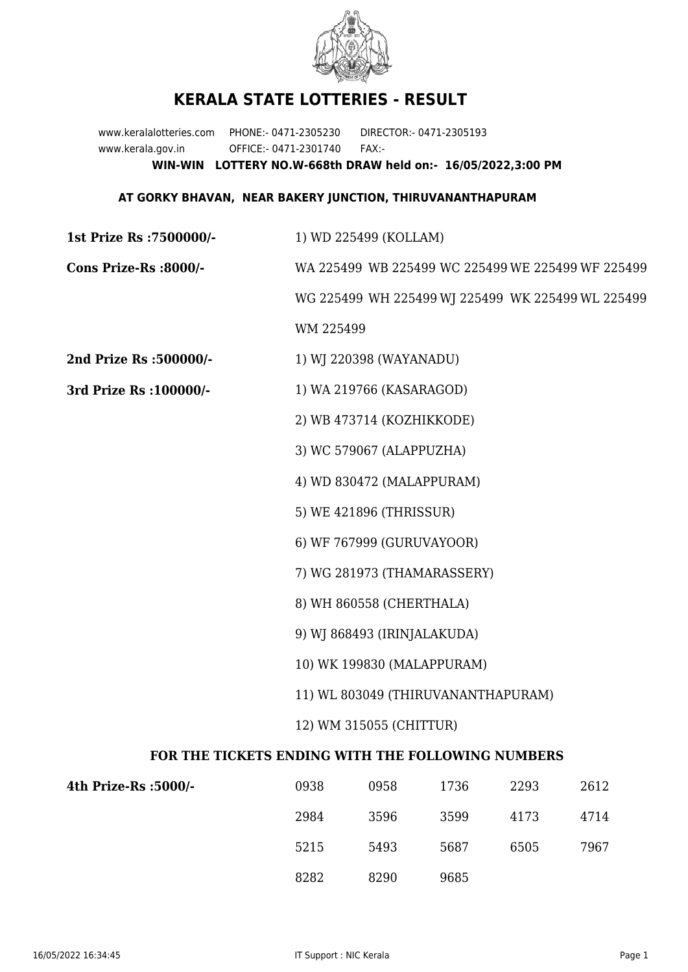

## **KERALA STATE LOTTERIES - RESULT**

www.keralalotteries.com PHONE:- 0471-2305230 DIRECTOR:- 0471-2305193 www.kerala.gov.in OFFICE:- 0471-2301740 FAX:- **WIN-WIN LOTTERY NO.W-668th DRAW held on:- 16/05/2022,3:00 PM**

## **AT GORKY BHAVAN, NEAR BAKERY JUNCTION, THIRUVANANTHAPURAM**

**1st Prize Rs :7500000/-** 1) WD 225499 (KOLLAM) **Cons Prize-Rs :8000/-** WA 225499 WB 225499 WC 225499 WE 225499 WF 225499 WG 225499 WH 225499 WJ 225499 WK 225499 WL 225499 WM 225499 **2nd Prize Rs :500000/-** 1) WJ 220398 (WAYANADU) **3rd Prize Rs :100000/-** 1) WA 219766 (KASARAGOD) 2) WB 473714 (KOZHIKKODE) 3) WC 579067 (ALAPPUZHA) 4) WD 830472 (MALAPPURAM) 5) WE 421896 (THRISSUR) 6) WF 767999 (GURUVAYOOR) 7) WG 281973 (THAMARASSERY) 8) WH 860558 (CHERTHALA) 9) WJ 868493 (IRINJALAKUDA) 10) WK 199830 (MALAPPURAM) 11) WL 803049 (THIRUVANANTHAPURAM) 12) WM 315055 (CHITTUR) **FOR THE TICKETS ENDING WITH THE FOLLOWING NUMBERS**

| 4th Prize-Rs :5000/- | 0938 | 0958 | 1736 | 2293 | 2612 |
|----------------------|------|------|------|------|------|
|                      | 2984 | 3596 | 3599 | 4173 | 4714 |
|                      | 5215 | 5493 | 5687 | 6505 | 7967 |
|                      | 8282 | 8290 | 9685 |      |      |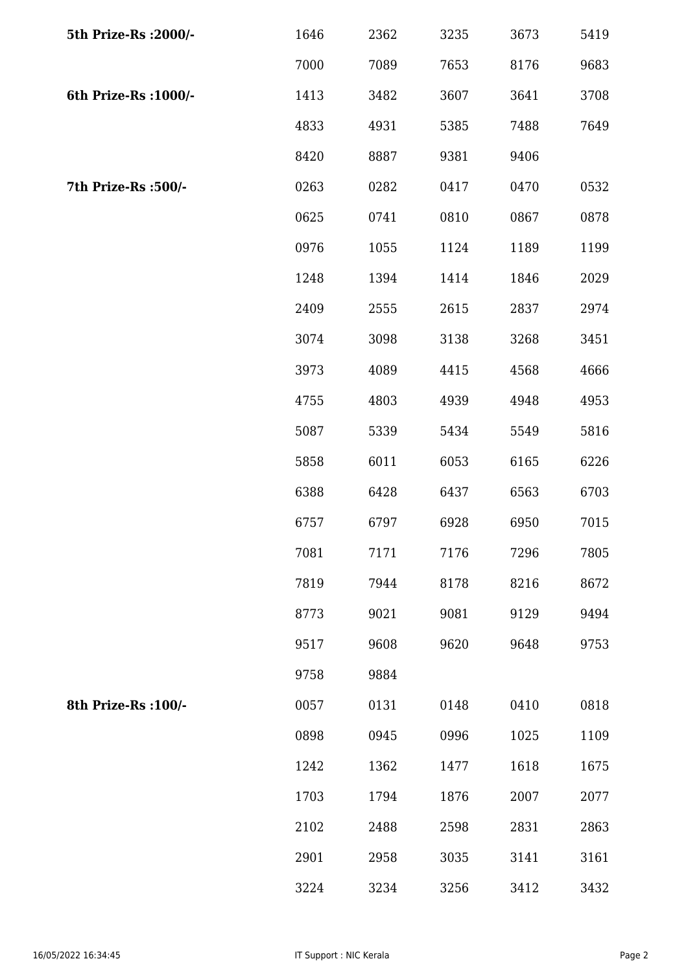| 5th Prize-Rs : 2000/- | 1646 | 2362 | 3235 | 3673 | 5419 |
|-----------------------|------|------|------|------|------|
|                       | 7000 | 7089 | 7653 | 8176 | 9683 |
| 6th Prize-Rs : 1000/- | 1413 | 3482 | 3607 | 3641 | 3708 |
|                       | 4833 | 4931 | 5385 | 7488 | 7649 |
|                       | 8420 | 8887 | 9381 | 9406 |      |
| 7th Prize-Rs :500/-   | 0263 | 0282 | 0417 | 0470 | 0532 |
|                       | 0625 | 0741 | 0810 | 0867 | 0878 |
|                       | 0976 | 1055 | 1124 | 1189 | 1199 |
|                       | 1248 | 1394 | 1414 | 1846 | 2029 |
|                       | 2409 | 2555 | 2615 | 2837 | 2974 |
|                       | 3074 | 3098 | 3138 | 3268 | 3451 |
|                       | 3973 | 4089 | 4415 | 4568 | 4666 |
|                       | 4755 | 4803 | 4939 | 4948 | 4953 |
|                       | 5087 | 5339 | 5434 | 5549 | 5816 |
|                       | 5858 | 6011 | 6053 | 6165 | 6226 |
|                       | 6388 | 6428 | 6437 | 6563 | 6703 |
|                       | 6757 | 6797 | 6928 | 6950 | 7015 |
|                       | 7081 | 7171 | 7176 | 7296 | 7805 |
|                       | 7819 | 7944 | 8178 | 8216 | 8672 |
|                       | 8773 | 9021 | 9081 | 9129 | 9494 |
|                       | 9517 | 9608 | 9620 | 9648 | 9753 |
|                       | 9758 | 9884 |      |      |      |
| 8th Prize-Rs : 100/-  | 0057 | 0131 | 0148 | 0410 | 0818 |
|                       | 0898 | 0945 | 0996 | 1025 | 1109 |
|                       | 1242 | 1362 | 1477 | 1618 | 1675 |
|                       | 1703 | 1794 | 1876 | 2007 | 2077 |
|                       | 2102 | 2488 | 2598 | 2831 | 2863 |
|                       | 2901 | 2958 | 3035 | 3141 | 3161 |
|                       | 3224 | 3234 | 3256 | 3412 | 3432 |